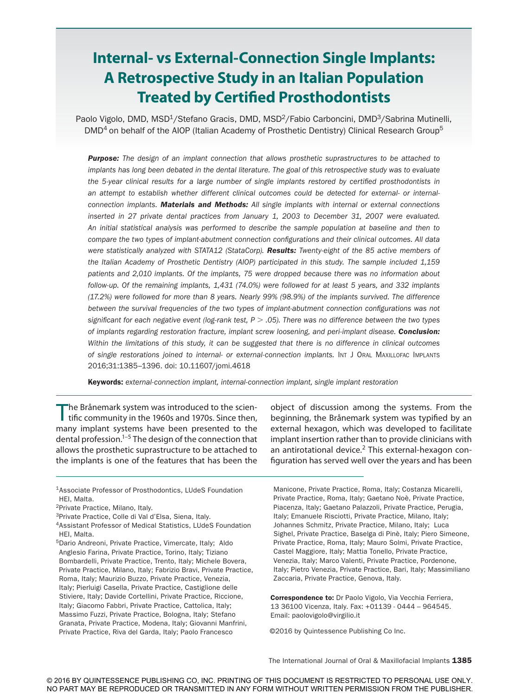# **Internal- vs External-Connection Single Implants: A Retrospective Study in an Italian Population Treated by Certified Prosthodontists**

Paolo Vigolo, DMD, MSD<sup>1</sup>/Stefano Gracis, DMD, MSD<sup>2</sup>/Fabio Carboncini, DMD<sup>3</sup>/Sabrina Mutinelli, DMD<sup>4</sup> on behalf of the AIOP (Italian Academy of Prosthetic Dentistry) Clinical Research Group<sup>5</sup>

*Purpose: The design of an implant connection that allows prosthetic suprastructures to be attached to implants has long been debated in the dental literature. The goal of this retrospective study was to evaluate the 5-year clinical results for a large number of single implants restored by certified prosthodontists in an attempt to establish whether different clinical outcomes could be detected for external- or internalconnection implants. Materials and Methods: All single implants with internal or external connections inserted in 27 private dental practices from January 1, 2003 to December 31, 2007 were evaluated. An initial statistical analysis was performed to describe the sample population at baseline and then to compare the two types of implant-abutment connection configurations and their clinical outcomes. All data were statistically analyzed with STATA12 (StataCorp). Results: Twenty-eight of the 85 active members of the Italian Academy of Prosthetic Dentistry (AIOP) participated in this study. The sample included 1,159 patients and 2,010 implants. Of the implants, 75 were dropped because there was no information about follow-up. Of the remaining implants, 1,431 (74.0%) were followed for at least 5 years, and 332 implants (17.2%) were followed for more than 8 years. Nearly 99% (98.9%) of the implants survived. The difference between the survival frequencies of the two types of implant-abutment connection configurations was not significant for each negative event (log-rank test, P* > *.05). There was no difference between the two types of implants regarding restoration fracture, implant screw loosening, and peri-implant disease. Conclusion: Within the limitations of this study, it can be suggested that there is no difference in clinical outcomes*  of single restorations joined to internal- or external-connection implants. INT J ORAL MAXILLOFAC IMPLANTS 2016;31:1385–1396. doi: 10.11607/jomi.4618

Keywords: *external-connection implant, internal-connection implant, single implant restoration*

The Brånemark system was introduced to the scientific community in the 1960s and 1970s. Since then, many implant systems have been presented to the dental profession.1–5 The design of the connection that allows the prosthetic suprastructure to be attached to the implants is one of the features that has been the object of discussion among the systems. From the beginning, the Brånemark system was typified by an external hexagon, which was developed to facilitate implant insertion rather than to provide clinicians with an antirotational device.<sup>2</sup> This external-hexagon configuration has served well over the years and has been

Manicone, Private Practice, Roma, Italy; Costanza Micarelli, Private Practice, Roma, Italy; Gaetano Noè, Private Practice, Piacenza, Italy; Gaetano Palazzoli, Private Practice, Perugia, Italy; Emanuele Risciotti, Private Practice, Milano, Italy; Johannes Schmitz, Private Practice, Milano, Italy; Luca Sighel, Private Practice, Baselga di Pinè, Italy; Piero Simeone, Private Practice, Roma, Italy; Mauro Solmi, Private Practice, Castel Maggiore, Italy; Mattia Tonello, Private Practice, Venezia, Italy; Marco Valenti, Private Practice, Pordenone, Italy; Pietro Venezia, Private Practice, Bari, Italy; Massimiliano Zaccaria, Private Practice, Genova, Italy.

Correspondence to: Dr Paolo Vigolo, Via Vecchia Ferriera, 13 36100 Vicenza, Italy. Fax: +01139 - 0444 – 964545. Email: paolovigolo@virgilio.it

©2016 by Quintessence Publishing Co Inc.

<sup>1</sup>Associate Professor of Prosthodontics, LUdeS Foundation HEI, Malta.

<sup>2</sup>Private Practice, Milano, Italy.

<sup>3</sup>Private Practice, Colle di Val d'Elsa, Siena, Italy.

<sup>4</sup>Assistant Professor of Medical Statistics, LUdeS Foundation HEI, Malta.

<sup>5</sup>Dario Andreoni, Private Practice, Vimercate, Italy; Aldo Anglesio Farina, Private Practice, Torino, Italy; Tiziano Bombardelli, Private Practice, Trento, Italy; Michele Bovera, Private Practice, Milano, Italy; Fabrizio Bravi, Private Practice, Roma, Italy; Maurizio Buzzo, Private Practice, Venezia, Italy; Pierluigi Casella, Private Practice, Castiglione delle Stiviere, Italy; Davide Cortellini, Private Practice, Riccione, Italy; Giacomo Fabbri, Private Practice, Cattolica, Italy; Massimo Fuzzi, Private Practice, Bologna, Italy; Stefano Granata, Private Practice, Modena, Italy; Giovanni Manfrini, Private Practice, Riva del Garda, Italy; Paolo Francesco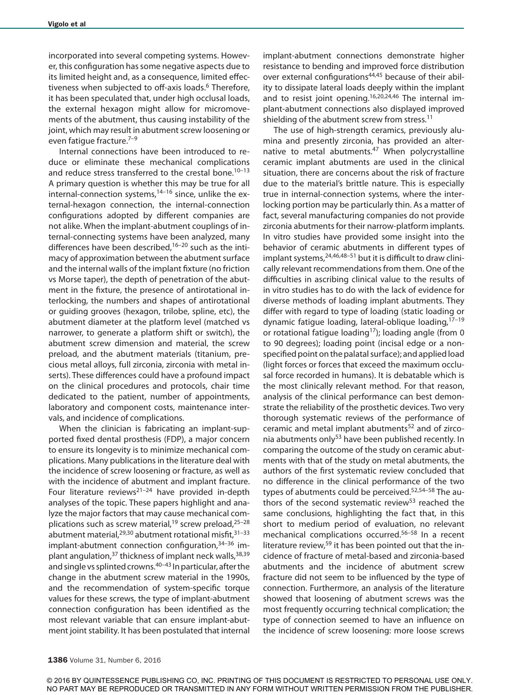incorporated into several competing systems. However, this configuration has some negative aspects due to its limited height and, as a consequence, limited effectiveness when subjected to off-axis loads.<sup>6</sup> Therefore, it has been speculated that, under high occlusal loads, the external hexagon might allow for micromovements of the abutment, thus causing instability of the joint, which may result in abutment screw loosening or even fatique fracture.<sup>7-9</sup>

Internal connections have been introduced to reduce or eliminate these mechanical complications and reduce stress transferred to the crestal bone.<sup>10-13</sup> A primary question is whether this may be true for all internal-connection systems, $14-16$  since, unlike the external-hexagon connection, the internal-connection configurations adopted by different companies are not alike. When the implant-abutment couplings of internal-connecting systems have been analyzed, many differences have been described,<sup>16-20</sup> such as the intimacy of approximation between the abutment surface and the internal walls of the implant fixture (no friction vs Morse taper), the depth of penetration of the abutment in the fixture, the presence of antirotational interlocking, the numbers and shapes of antirotational or guiding grooves (hexagon, trilobe, spline, etc), the abutment diameter at the platform level (matched vs narrower, to generate a platform shift or switch), the abutment screw dimension and material, the screw preload, and the abutment materials (titanium, precious metal alloys, full zirconia, zirconia with metal inserts). These differences could have a profound impact on the clinical procedures and protocols, chair time dedicated to the patient, number of appointments, laboratory and component costs, maintenance intervals, and incidence of complications.

When the clinician is fabricating an implant-supported fixed dental prosthesis (FDP), a major concern to ensure its longevity is to minimize mechanical complications. Many publications in the literature deal with the incidence of screw loosening or fracture, as well as with the incidence of abutment and implant fracture. Four literature reviews<sup>21-24</sup> have provided in-depth analyses of the topic. These papers highlight and analyze the major factors that may cause mechanical complications such as screw material,<sup>19</sup> screw preload,<sup>25-28</sup> abutment material, $29,30$  abutment rotational misfit, $31-33$ implant-abutment connection configuration,<sup>34-36</sup> implant angulation,<sup>37</sup> thickness of implant neck walls,<sup>38,39</sup> and single vs splinted crowns.<sup>40–43</sup> In particular, after the change in the abutment screw material in the 1990s, and the recommendation of system-specific torque values for these screws, the type of implant-abutment connection configuration has been identified as the most relevant variable that can ensure implant-abutment joint stability. It has been postulated that internal implant-abutment connections demonstrate higher resistance to bending and improved force distribution over external configurations<sup>44,45</sup> because of their ability to dissipate lateral loads deeply within the implant and to resist joint opening.<sup>16,20,24,46</sup> The internal implant-abutment connections also displayed improved shielding of the abutment screw from stress.<sup>11</sup>

The use of high-strength ceramics, previously alumina and presently zirconia, has provided an alternative to metal abutments.<sup>47</sup> When polycrystalline ceramic implant abutments are used in the clinical situation, there are concerns about the risk of fracture due to the material's brittle nature. This is especially true in internal-connection systems, where the interlocking portion may be particularly thin. As a matter of fact, several manufacturing companies do not provide zirconia abutments for their narrow-platform implants. In vitro studies have provided some insight into the behavior of ceramic abutments in different types of implant systems,  $24,46,48-51$  but it is difficult to draw clinically relevant recommendations from them. One of the difficulties in ascribing clinical value to the results of in vitro studies has to do with the lack of evidence for diverse methods of loading implant abutments. They differ with regard to type of loading (static loading or dynamic fatigue loading, lateral-oblique loading,17–19 or rotational fatigue loading<sup>17</sup>); loading angle (from 0 to 90 degrees); loading point (incisal edge or a nonspecified point on the palatal surface); and applied load (light forces or forces that exceed the maximum occlusal force recorded in humans). It is debatable which is the most clinically relevant method. For that reason, analysis of the clinical performance can best demonstrate the reliability of the prosthetic devices. Two very thorough systematic reviews of the performance of ceramic and metal implant abutments<sup>52</sup> and of zirconia abutments only<sup>53</sup> have been published recently. In comparing the outcome of the study on ceramic abutments with that of the study on metal abutments, the authors of the first systematic review concluded that no difference in the clinical performance of the two types of abutments could be perceived.<sup>52,54-58</sup> The authors of the second systematic review<sup>53</sup> reached the same conclusions, highlighting the fact that, in this short to medium period of evaluation, no relevant mechanical complications occurred.56–58 In a recent literature review,<sup>59</sup> it has been pointed out that the incidence of fracture of metal-based and zirconia-based abutments and the incidence of abutment screw fracture did not seem to be influenced by the type of connection. Furthermore, an analysis of the literature showed that loosening of abutment screws was the most frequently occurring technical complication; the type of connection seemed to have an influence on the incidence of screw loosening: more loose screws

© 2016 BY QUINTESSENCE PUBLISHING CO, INC. PRINTING OF THIS DOCUMENT IS RESTRICTED TO PERSONAL USE ONLY. NO PART MAY BE REPRODUCED OR TRANSMITTED IN ANY FORM WITHOUT WRITTEN PERMISSION FROM THE PUBLISHER.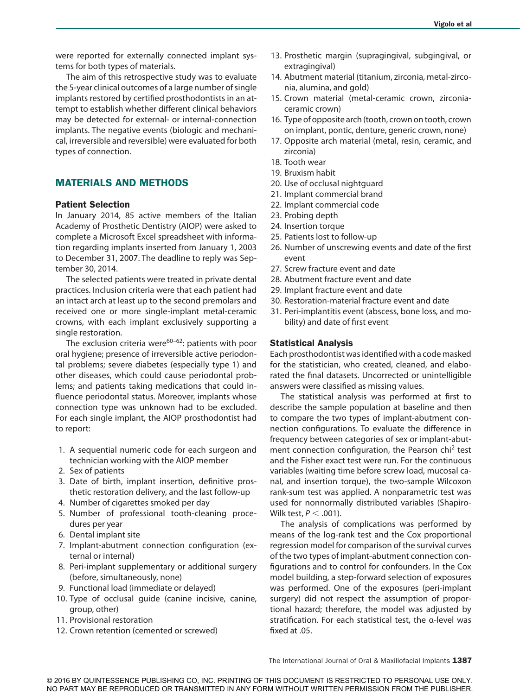were reported for externally connected implant systems for both types of materials.

The aim of this retrospective study was to evaluate the 5-year clinical outcomes of a large number of single implants restored by certified prosthodontists in an attempt to establish whether different clinical behaviors may be detected for external- or internal-connection implants. The negative events (biologic and mechanical, irreversible and reversible) were evaluated for both types of connection.

# MATERIALS AND METHODS

#### Patient Selection

In January 2014, 85 active members of the Italian Academy of Prosthetic Dentistry (AIOP) were asked to complete a Microsoft Excel spreadsheet with information regarding implants inserted from January 1, 2003 to December 31, 2007. The deadline to reply was September 30, 2014.

The selected patients were treated in private dental practices. Inclusion criteria were that each patient had an intact arch at least up to the second premolars and received one or more single-implant metal-ceramic crowns, with each implant exclusively supporting a single restoration.

The exclusion criteria were $60-62$ : patients with poor oral hygiene; presence of irreversible active periodontal problems; severe diabetes (especially type 1) and other diseases, which could cause periodontal problems; and patients taking medications that could influence periodontal status. Moreover, implants whose connection type was unknown had to be excluded. For each single implant, the AIOP prosthodontist had to report:

- 1. A sequential numeric code for each surgeon and technician working with the AIOP member
- 2. Sex of patients
- 3. Date of birth, implant insertion, definitive prosthetic restoration delivery, and the last follow-up
- 4. Number of cigarettes smoked per day
- 5. Number of professional tooth-cleaning procedures per year
- 6. Dental implant site
- 7. Implant-abutment connection configuration (external or internal)
- 8. Peri-implant supplementary or additional surgery (before, simultaneously, none)
- 9. Functional load (immediate or delayed)
- 10. Type of occlusal guide (canine incisive, canine, group, other)
- 11. Provisional restoration
- 12. Crown retention (cemented or screwed)
- 13. Prosthetic margin (supragingival, subgingival, or extragingival)
- 14. Abutment material (titanium, zirconia, metal-zirconia, alumina, and gold)
- 15. Crown material (metal-ceramic crown, zirconiaceramic crown)
- 16. Type of opposite arch (tooth, crown on tooth, crown on implant, pontic, denture, generic crown, none)
- 17. Opposite arch material (metal, resin, ceramic, and zirconia)
- 18. Tooth wear
- 19. Bruxism habit
- 20. Use of occlusal nightguard
- 21. Implant commercial brand
- 22. Implant commercial code
- 23. Probing depth
- 24. Insertion torque
- 25. Patients lost to follow-up
- 26. Number of unscrewing events and date of the first event
- 27. Screw fracture event and date
- 28. Abutment fracture event and date
- 29. Implant fracture event and date
- 30. Restoration-material fracture event and date
- 31. Peri-implantitis event (abscess, bone loss, and mobility) and date of first event

### Statistical Analysis

Each prosthodontist was identified with a code masked for the statistician, who created, cleaned, and elaborated the final datasets. Uncorrected or unintelligible answers were classified as missing values.

The statistical analysis was performed at first to describe the sample population at baseline and then to compare the two types of implant-abutment connection configurations. To evaluate the difference in frequency between categories of sex or implant-abutment connection configuration, the Pearson chi<sup>2</sup> test and the Fisher exact test were run. For the continuous variables (waiting time before screw load, mucosal canal, and insertion torque), the two-sample Wilcoxon rank-sum test was applied. A nonparametric test was used for nonnormally distributed variables (Shapiro-Wilk test, *P* < .001).

The analysis of complications was performed by means of the log-rank test and the Cox proportional regression model for comparison of the survival curves of the two types of implant-abutment connection configurations and to control for confounders. In the Cox model building, a step-forward selection of exposures was performed. One of the exposures (peri-implant surgery) did not respect the assumption of proportional hazard; therefore, the model was adjusted by stratification. For each statistical test, the α-level was fixed at .05.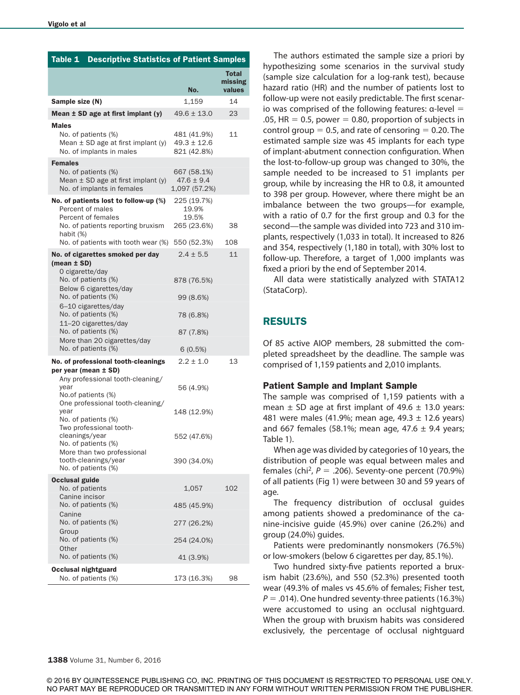| Table 1<br><b>Descriptive Statistics of Patient Samples</b>                                                                                                              |                                                             |                            |
|--------------------------------------------------------------------------------------------------------------------------------------------------------------------------|-------------------------------------------------------------|----------------------------|
|                                                                                                                                                                          | No.                                                         | Total<br>missing<br>values |
| Sample size (N)                                                                                                                                                          | 1,159                                                       | 14                         |
| Mean ± SD age at first implant (y)                                                                                                                                       | $49.6 \pm 13.0$                                             | 23                         |
| <b>Males</b><br>No. of patients (%)<br>Mean $\pm$ SD age at first implant (y)<br>No. of implants in males                                                                | 481 (41.9%)<br>$49.3 \pm 12.6$<br>821 (42.8%)               | 11                         |
| <b>Females</b><br>No. of patients (%)<br>Mean $\pm$ SD age at first implant (y)<br>No. of implants in females                                                            | 667 (58.1%)<br>$47.6 \pm 9.4$<br>1,097 (57.2%)              |                            |
| No. of patients lost to follow-up (%)<br>Percent of males<br>Percent of females<br>No. of patients reporting bruxism<br>habit (%)<br>No. of patients with tooth wear (%) | 225 (19.7%)<br>19.9%<br>19.5%<br>265 (23.6%)<br>550 (52.3%) | 38<br>108                  |
| No. of cigarettes smoked per day                                                                                                                                         | $2.4 \pm 5.5$                                               | 11                         |
| (mean $\pm$ SD)<br>O cigarette/day<br>No. of patients (%)<br>Below 6 cigarettes/day<br>No. of patients (%)<br>6-10 cigarettes/day                                        | 878 (76.5%)<br>99 (8.6%)                                    |                            |
| No. of patients (%)                                                                                                                                                      | 78 (6.8%)                                                   |                            |
| 11-20 cigarettes/day<br>No. of patients (%)<br>More than 20 cigarettes/day                                                                                               | 87 (7.8%)                                                   |                            |
| No. of patients (%)                                                                                                                                                      | 6(0.5%)                                                     |                            |
| No. of professional tooth-cleanings<br>per year (mean ± SD)<br>Any professional tooth-cleaning/<br>year<br>No.of patients (%)                                            | $2.2 \pm 1.0$<br>56 (4.9%)                                  | 13                         |
| One professional tooth-cleaning/<br>year<br>No. of patients (%)                                                                                                          | 148 (12.9%)                                                 |                            |
| Two professional tooth-<br>cleanings/year<br>No. of patients (%)<br>More than two professional                                                                           | 552 (47.6%)                                                 |                            |
| tooth-cleanings/year<br>No. of patients (%)                                                                                                                              | 390 (34.0%)                                                 |                            |
| <b>Occlusal guide</b><br>No. of patients<br>Canine incisor                                                                                                               | 1,057                                                       | 102                        |
| No. of patients (%)<br>Canine                                                                                                                                            | 485 (45.9%)                                                 |                            |
| No. of patients (%)<br>Group                                                                                                                                             | 277 (26.2%)                                                 |                            |
| No. of patients (%)<br>Other                                                                                                                                             | 254 (24.0%)                                                 |                            |
| No. of patients (%)                                                                                                                                                      | 41 (3.9%)                                                   |                            |
| Occlusal nightguard<br>No. of patients (%)                                                                                                                               | 173 (16.3%)                                                 | 98                         |

The authors estimated the sample size a priori by hypothesizing some scenarios in the survival study (sample size calculation for a log-rank test), because hazard ratio (HR) and the number of patients lost to follow-up were not easily predictable. The first scenario was comprised of the following features:  $α$ -level = .05, HR = 0.5, power = 0.80, proportion of subjects in control group = 0.5, and rate of censoring = 0.20. The estimated sample size was 45 implants for each type of implant-abutment connection configuration. When the lost-to-follow-up group was changed to 30%, the sample needed to be increased to 51 implants per group, while by increasing the HR to 0.8, it amounted to 398 per group. However, where there might be an imbalance between the two groups—for example, with a ratio of 0.7 for the first group and 0.3 for the second—the sample was divided into 723 and 310 implants, respectively (1,033 in total). It increased to 826 and 354, respectively (1,180 in total), with 30% lost to follow-up. Therefore, a target of 1,000 implants was fixed a priori by the end of September 2014.

All data were statistically analyzed with STATA12 (StataCorp).

## RESULTS

Of 85 active AIOP members, 28 submitted the completed spreadsheet by the deadline. The sample was comprised of 1,159 patients and 2,010 implants.

## Patient Sample and Implant Sample

The sample was comprised of 1,159 patients with a mean  $\pm$  SD age at first implant of 49.6  $\pm$  13.0 years: 481 were males (41.9%; mean age, 49.3  $\pm$  12.6 years) and 667 females (58.1%; mean age, 47.6  $\pm$  9.4 years; Table 1).

When age was divided by categories of 10 years, the distribution of people was equal between males and females (chi<sup>2</sup>,  $P = 0.206$ ). Seventy-one percent (70.9%) of all patients (Fig 1) were between 30 and 59 years of age.

The frequency distribution of occlusal guides among patients showed a predominance of the canine-incisive guide (45.9%) over canine (26.2%) and group (24.0%) guides.

Patients were predominantly nonsmokers (76.5%) or low-smokers (below 6 cigarettes per day, 85.1%).

Two hundred sixty-five patients reported a bruxism habit (23.6%), and 550 (52.3%) presented tooth wear (49.3% of males vs 45.6% of females; Fisher test,  $P = .014$ ). One hundred seventy-three patients (16.3%) were accustomed to using an occlusal nightguard. When the group with bruxism habits was considered exclusively, the percentage of occlusal nightguard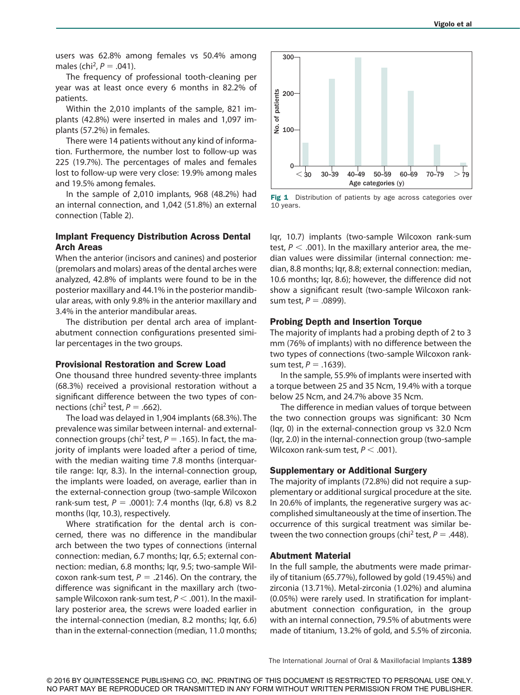users was 62.8% among females vs 50.4% among males (chi<sup>2</sup>,  $P = .041$ ).

The frequency of professional tooth-cleaning per year was at least once every 6 months in 82.2% of patients.

Within the 2,010 implants of the sample, 821 implants (42.8%) were inserted in males and 1,097 implants (57.2%) in females.

There were 14 patients without any kind of information. Furthermore, the number lost to follow-up was 225 (19.7%). The percentages of males and females lost to follow-up were very close: 19.9% among males and 19.5% among females.

In the sample of 2,010 implants, 968 (48.2%) had an internal connection, and 1,042 (51.8%) an external connection (Table 2).

## Implant Frequency Distribution Across Dental Arch Areas

When the anterior (incisors and canines) and posterior (premolars and molars) areas of the dental arches were analyzed, 42.8% of implants were found to be in the posterior maxillary and 44.1% in the posterior mandibular areas, with only 9.8% in the anterior maxillary and 3.4% in the anterior mandibular areas.

The distribution per dental arch area of implantabutment connection configurations presented similar percentages in the two groups.

#### Provisional Restoration and Screw Load

One thousand three hundred seventy-three implants (68.3%) received a provisional restoration without a significant difference between the two types of connections (chi<sup>2</sup> test,  $P = .662$ ).

The load was delayed in 1,904 implants (68.3%). The prevalence was similar between internal- and externalconnection groups (chi<sup>2</sup> test,  $P = .165$ ). In fact, the majority of implants were loaded after a period of time, with the median waiting time 7.8 months (interquartile range: Iqr, 8.3). In the internal-connection group, the implants were loaded, on average, earlier than in the external-connection group (two-sample Wilcoxon rank-sum test, *P* = .0001): 7.4 months (Iqr, 6.8) vs 8.2 months (Iqr, 10.3), respectively.

Where stratification for the dental arch is concerned, there was no difference in the mandibular arch between the two types of connections (internal connection: median, 6.7 months; Iqr, 6.5; external connection: median, 6.8 months; Iqr, 9.5; two-sample Wilcoxon rank-sum test,  $P = .2146$ ). On the contrary, the difference was significant in the maxillary arch (twosample Wilcoxon rank-sum test, *P* < .001). In the maxillary posterior area, the screws were loaded earlier in the internal-connection (median, 8.2 months; Iqr, 6.6) than in the external-connection (median, 11.0 months;



Fig 1 Distribution of patients by age across categories over 10 years.

Iqr, 10.7) implants (two-sample Wilcoxon rank-sum test,  $P < .001$ ). In the maxillary anterior area, the median values were dissimilar (internal connection: median, 8.8 months; Iqr, 8.8; external connection: median, 10.6 months; Iqr, 8.6); however, the difference did not show a significant result (two-sample Wilcoxon ranksum test,  $P = .0899$ ).

#### Probing Depth and Insertion Torque

The majority of implants had a probing depth of 2 to 3 mm (76% of implants) with no difference between the two types of connections (two-sample Wilcoxon ranksum test, *P* = .1639).

In the sample, 55.9% of implants were inserted with a torque between 25 and 35 Ncm, 19.4% with a torque below 25 Ncm, and 24.7% above 35 Ncm.

The difference in median values of torque between the two connection groups was significant: 30 Ncm (Iqr, 0) in the external-connection group vs 32.0 Ncm (Iqr, 2.0) in the internal-connection group (two-sample Wilcoxon rank-sum test, *P* < .001).

## Supplementary or Additional Surgery

The majority of implants (72.8%) did not require a supplementary or additional surgical procedure at the site. In 20.6% of implants, the regenerative surgery was accomplished simultaneously at the time of insertion. The occurrence of this surgical treatment was similar between the two connection groups (chi<sup>2</sup> test,  $P = .448$ ).

## Abutment Material

In the full sample, the abutments were made primarily of titanium (65.77%), followed by gold (19.45%) and zirconia (13.71%). Metal-zirconia (1.02%) and alumina (0.05%) were rarely used. In stratification for implantabutment connection configuration, in the group with an internal connection, 79.5% of abutments were made of titanium, 13.2% of gold, and 5.5% of zirconia.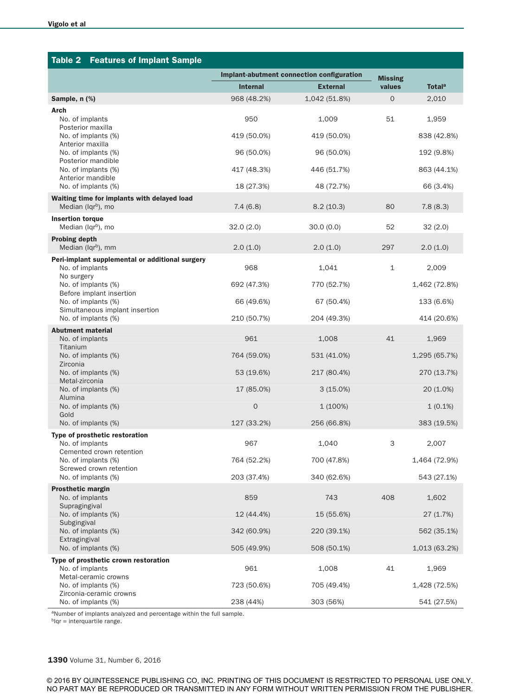| Table 2<br><b>Features of Implant Sample</b>                                     |                                           |                 |              |                    |  |  |
|----------------------------------------------------------------------------------|-------------------------------------------|-----------------|--------------|--------------------|--|--|
|                                                                                  | Implant-abutment connection configuration | <b>Missing</b>  |              |                    |  |  |
|                                                                                  | <b>Internal</b>                           | <b>External</b> | values       | Total <sup>a</sup> |  |  |
| Sample, n (%)                                                                    | 968 (48.2%)                               | 1,042 (51.8%)   | $\mathbf{O}$ | 2,010              |  |  |
| <b>Arch</b><br>No. of implants<br>Posterior maxilla                              | 950                                       | 1,009           | 51           | 1,959              |  |  |
| No. of implants (%)<br>Anterior maxilla                                          | 419 (50.0%)                               | 419 (50.0%)     |              | 838 (42.8%)        |  |  |
| No. of implants (%)<br>Posterior mandible                                        | 96 (50.0%)                                | 96 (50.0%)      |              | 192 (9.8%)         |  |  |
| No. of implants (%)<br>Anterior mandible                                         | 417 (48.3%)                               | 446 (51.7%)     |              | 863 (44.1%)        |  |  |
| No. of implants (%)                                                              | 18 (27.3%)                                | 48 (72.7%)      |              | 66 (3.4%)          |  |  |
| Waiting time for implants with delayed load<br>Median (Iqrb), mo                 | 7.4(6.8)                                  | 8.2(10.3)       | 80           | 7.8(8.3)           |  |  |
| <b>Insertion torque</b><br>Median (Iqrb), mo                                     | 32.0 (2.0)                                | 30.0(0.0)       | 52           | 32(2.0)            |  |  |
| <b>Probing depth</b><br>Median (Iqrb), mm                                        | 2.0(1.0)                                  | 2.0(1.0)        | 297          | 2.0(1.0)           |  |  |
| Peri-implant supplemental or additional surgery<br>No. of implants<br>No surgery | 968                                       | 1,041           | $\mathbf{1}$ | 2,009              |  |  |
| No. of implants (%)                                                              | 692 (47.3%)                               | 770 (52.7%)     |              | 1,462 (72.8%)      |  |  |
| Before implant insertion<br>No. of implants (%)                                  | 66 (49.6%)                                | 67 (50.4%)      |              | 133 (6.6%)         |  |  |
| Simultaneous implant insertion<br>No. of implants (%)                            | 210 (50.7%)                               | 204 (49.3%)     |              | 414 (20.6%)        |  |  |
| <b>Abutment material</b>                                                         |                                           |                 | 41           |                    |  |  |
| No. of implants<br>Titanium                                                      | 961                                       | 1,008           |              | 1,969              |  |  |
| No. of implants (%)<br>Zirconia                                                  | 764 (59.0%)                               | 531 (41.0%)     |              | 1,295 (65.7%)      |  |  |
| No. of implants (%)<br>Metal-zirconia                                            | 53 (19.6%)                                | 217 (80.4%)     |              | 270 (13.7%)        |  |  |
| No. of implants (%)<br>Alumina                                                   | 17 (85.0%)                                | $3(15.0\%)$     |              | 20 (1.0%)          |  |  |
| No. of implants (%)                                                              | $\mathbf 0$                               | 1 (100%)        |              | $1(0.1\%)$         |  |  |
| Gold<br>No. of implants (%)                                                      | 127 (33.2%)                               | 256 (66.8%)     |              | 383 (19.5%)        |  |  |
| Type of prosthetic restoration<br>No. of implants                                | 967                                       | 1,040           | 3            | 2,007              |  |  |
| Cemented crown retention<br>No. of implants (%)                                  | 764 (52.2%)                               | 700 (47.8%)     |              | 1,464 (72.9%)      |  |  |
| Screwed crown retention<br>No. of implants (%)                                   | 203 (37.4%)                               | 340 (62.6%)     |              | 543 (27.1%)        |  |  |
| <b>Prosthetic margin</b>                                                         |                                           |                 |              |                    |  |  |
| No. of implants<br>Supragingival                                                 | 859                                       | 743             | 408          | 1,602              |  |  |
| No. of implants (%)<br>Subgingival                                               | 12 (44.4%)                                | 15 (55.6%)      |              | 27 (1.7%)          |  |  |
| No. of implants (%)<br>Extragingival                                             | 342 (60.9%)                               | 220 (39.1%)     |              | 562 (35.1%)        |  |  |
| No. of implants (%)                                                              | 505 (49.9%)                               | 508 (50.1%)     |              | 1,013 (63.2%)      |  |  |
| Type of prosthetic crown restoration<br>No. of implants<br>Metal-ceramic crowns  | 961                                       | 1,008           | 41           | 1,969              |  |  |
| No. of implants (%)                                                              | 723 (50.6%)                               | 705 (49.4%)     |              | 1,428 (72.5%)      |  |  |
| Zirconia-ceramic crowns<br>No. of implants (%)                                   | 238 (44%)                                 | 303 (56%)       |              | 541 (27.5%)        |  |  |

<sup>a</sup>Number of implants analyzed and percentage within the full sample.

 $b$ Iqr = interquartile range.

© 2016 BY QUINTESSENCE PUBLISHING CO, INC. PRINTING OF THIS DOCUMENT IS RESTRICTED TO PERSONAL USE ONLY. NO PART MAY BE REPRODUCED OR TRANSMITTED IN ANY FORM WITHOUT WRITTEN PERMISSION FROM THE PUBLISHER.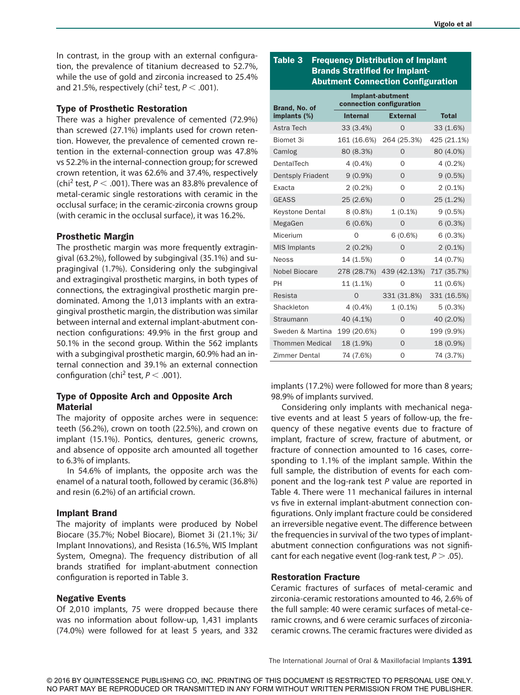In contrast, in the group with an external configuration, the prevalence of titanium decreased to 52.7%, while the use of gold and zirconia increased to 25.4% and 21.5%, respectively (chi<sup>2</sup> test,  $P < .001$ ).

#### Type of Prosthetic Restoration

There was a higher prevalence of cemented (72.9%) than screwed (27.1%) implants used for crown retention. However, the prevalence of cemented crown retention in the external-connection group was 47.8% vs 52.2% in the internal-connection group; for screwed crown retention, it was 62.6% and 37.4%, respectively (chi<sup>2</sup> test,  $P < .001$ ). There was an 83.8% prevalence of metal-ceramic single restorations with ceramic in the occlusal surface; in the ceramic-zirconia crowns group (with ceramic in the occlusal surface), it was 16.2%.

#### Prosthetic Margin

The prosthetic margin was more frequently extragingival (63.2%), followed by subgingival (35.1%) and supragingival (1.7%). Considering only the subgingival and extragingival prosthetic margins, in both types of connections, the extragingival prosthetic margin predominated. Among the 1,013 implants with an extragingival prosthetic margin, the distribution was similar between internal and external implant-abutment connection configurations: 49.9% in the first group and 50.1% in the second group. Within the 562 implants with a subgingival prosthetic margin, 60.9% had an internal connection and 39.1% an external connection configuration (chi<sup>2</sup> test,  $P < .001$ ).

#### Type of Opposite Arch and Opposite Arch Material

The majority of opposite arches were in sequence: teeth (56.2%), crown on tooth (22.5%), and crown on implant (15.1%). Pontics, dentures, generic crowns, and absence of opposite arch amounted all together to 6.3% of implants.

In 54.6% of implants, the opposite arch was the enamel of a natural tooth, followed by ceramic (36.8%) and resin (6.2%) of an artificial crown.

#### Implant Brand

The majority of implants were produced by Nobel Biocare (35.7%; Nobel Biocare), Biomet 3i (21.1%; 3i/ Implant Innovations), and Resista (16.5%, WIS Implant System, Omegna). The frequency distribution of all brands stratified for implant-abutment connection configuration is reported in Table 3.

#### Negative Events

Of 2,010 implants, 75 were dropped because there was no information about follow-up, 1,431 implants (74.0%) were followed for at least 5 years, and 332

#### Table 3 Frequency Distribution of Implant Brands Stratified for Implant-Abutment Connection Configuration

| <b>Brand, No. of</b>   | <b>Implant-abutment</b><br>connection configuration |              |              |  |
|------------------------|-----------------------------------------------------|--------------|--------------|--|
| implants (%)           | <b>Internal</b><br><b>External</b>                  |              | <b>Total</b> |  |
| Astra Tech             | 33 (3.4%)                                           | $\Omega$     | 33 (1.6%)    |  |
| Biomet 3i              | 161 (16.6%)                                         | 264 (25.3%)  | 425 (21.1%)  |  |
| Camlog                 | 80 (8.3%)                                           | $\Omega$     | 80 (4.0%)    |  |
| DentalTech             | $4(0.4\%)$                                          | $\Omega$     | $4(0.2\%)$   |  |
| Dentsply Friadent      | $9(0.9\%)$                                          | $\Omega$     | 9(0.5%)      |  |
| Exacta                 | 2(0.2%)                                             | $\Omega$     | $2(0.1\%)$   |  |
| <b>GEASS</b>           | 25 (2.6%)                                           | $\Omega$     | 25 (1.2%)    |  |
| <b>Keystone Dental</b> | 8(0.8%)                                             | $1(0.1\%)$   | 9(0.5%)      |  |
| MegaGen                | 6(0.6%)                                             | $\Omega$     | 6(0.3%)      |  |
| Micerium               | 0                                                   | 6(0.6%)      | 6(0.3%)      |  |
| <b>MIS Implants</b>    | $2(0.2\%)$                                          | $\Omega$     | $2(0.1\%)$   |  |
| <b>Neoss</b>           | 14 (1.5%)                                           | $\Omega$     | 14 (0.7%)    |  |
| <b>Nobel Biocare</b>   | 278 (28.7%)                                         | 439 (42.13%) | 717 (35.7%)  |  |
| PH                     | 11 (1.1%)                                           | 0            | 11 (0.6%)    |  |
| Resista                | $\Omega$                                            | 331 (31.8%)  | 331 (16.5%)  |  |
| Shackleton             | 4 (0.4%)                                            | $1(0.1\%)$   | 5(0.3%)      |  |
| Straumann              | 40 (4.1%)                                           | $\Omega$     | 40 (2.0%)    |  |
| Sweden & Martina       | 199 (20.6%)                                         | $\Omega$     | 199 (9.9%)   |  |
| <b>Thommen Medical</b> | 18 (1.9%)                                           | $\Omega$     | 18 (0.9%)    |  |
| Zimmer Dental          | 74 (7.6%)                                           | O            | 74 (3.7%)    |  |

implants (17.2%) were followed for more than 8 years; 98.9% of implants survived.

Considering only implants with mechanical negative events and at least 5 years of follow-up, the frequency of these negative events due to fracture of implant, fracture of screw, fracture of abutment, or fracture of connection amounted to 16 cases, corresponding to 1.1% of the implant sample. Within the full sample, the distribution of events for each component and the log-rank test *P* value are reported in Table 4. There were 11 mechanical failures in internal vs five in external implant-abutment connection configurations. Only implant fracture could be considered an irreversible negative event. The difference between the frequencies in survival of the two types of implantabutment connection configurations was not significant for each negative event (log-rank test, *P* > .05).

#### Restoration Fracture

Ceramic fractures of surfaces of metal-ceramic and zirconia-ceramic restorations amounted to 46, 2.6% of the full sample: 40 were ceramic surfaces of metal-ceramic crowns, and 6 were ceramic surfaces of zirconiaceramic crowns. The ceramic fractures were divided as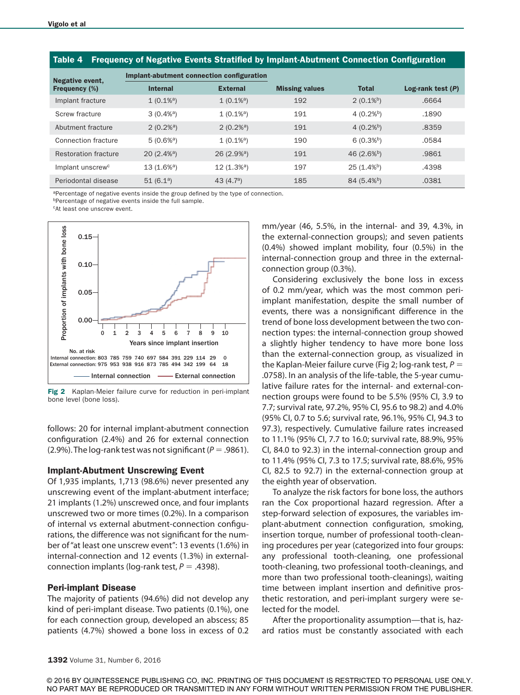|  | Table 4 Frequency of Negative Events Stratified by Implant-Abutment Connection Configuration |  |  |  |
|--|----------------------------------------------------------------------------------------------|--|--|--|
|  |                                                                                              |  |  |  |

| Negative event,              |                           | Implant-abutment connection configuration |                       |              |                     |  |
|------------------------------|---------------------------|-------------------------------------------|-----------------------|--------------|---------------------|--|
| <b>Frequency (%)</b>         | <b>Internal</b>           | <b>External</b>                           | <b>Missing values</b> | <b>Total</b> | Log-rank test $(P)$ |  |
| Implant fracture             | $1(0.1\%)$                | $1(0.1\%)$                                | 192                   | $2(0.1\%)$   | .6664               |  |
| Screw fracture               | $3(0.4\%)$                | $1(0.1\%)$                                | 191                   | 4 $(0.2\%)$  | .1890               |  |
| Abutment fracture            | $2(0.2\%)$                | $2(0.2\%)$                                | 191                   | 4 $(0.2\%)$  | .8359               |  |
| Connection fracture          | $5(0.6\%)$                | $1(0.1\%)$                                | 190                   | $6(0.3\%)$   | .0584               |  |
| <b>Restoration fracture</b>  | $20(2.4\%)$               | $26(2.9\%)$                               | 191                   | 46 $(2.6\%)$ | .9861               |  |
| Implant unscrew <sup>c</sup> | $13(1.6\%)$               | $12(1.3\%)$                               | 197                   | $25(1.4\%)$  | .4398               |  |
| Periodontal disease          | 51 $(6.1)$ <sup>a</sup> ) | 43 $(4.7a)$                               | 185                   | $84(5.4\%)$  | .0381               |  |

aPercentage of negative events inside the group defined by the type of connection.

bPercentage of negative events inside the full sample.

cAt least one unscrew event.



Fig 2 Kaplan-Meier failure curve for reduction in peri-implant bone level (bone loss).

follows: 20 for internal implant-abutment connection configuration (2.4%) and 26 for external connection (2.9%). The log-rank test was not significant ( $P = .9861$ ).

#### Implant-Abutment Unscrewing Event

Of 1,935 implants, 1,713 (98.6%) never presented any unscrewing event of the implant-abutment interface; 21 implants (1.2%) unscrewed once, and four implants unscrewed two or more times (0.2%). In a comparison of internal vs external abutment-connection configurations, the difference was not significant for the number of "at least one unscrew event": 13 events (1.6%) in internal-connection and 12 events (1.3%) in externalconnection implants (log-rank test,  $P = .4398$ ).

#### Peri-implant Disease

The majority of patients (94.6%) did not develop any kind of peri-implant disease. Two patients (0.1%), one for each connection group, developed an abscess; 85 patients (4.7%) showed a bone loss in excess of 0.2 mm/year (46, 5.5%, in the internal- and 39, 4.3%, in the external-connection groups); and seven patients (0.4%) showed implant mobility, four (0.5%) in the internal-connection group and three in the externalconnection group (0.3%).

Considering exclusively the bone loss in excess of 0.2 mm/year, which was the most common periimplant manifestation, despite the small number of events, there was a nonsignificant difference in the trend of bone loss development between the two connection types: the internal-connection group showed a slightly higher tendency to have more bone loss than the external-connection group, as visualized in the Kaplan-Meier failure curve (Fig 2; log-rank test, *P* = .0758). In an analysis of the life-table, the 5-year cumulative failure rates for the internal- and external-connection groups were found to be 5.5% (95% CI, 3.9 to 7.7; survival rate, 97.2%, 95% CI, 95.6 to 98.2) and 4.0% (95% CI, 0.7 to 5.6; survival rate, 96.1%, 95% CI, 94.3 to 97.3), respectively. Cumulative failure rates increased to 11.1% (95% CI, 7.7 to 16.0; survival rate, 88.9%, 95% CI, 84.0 to 92.3) in the internal-connection group and to 11.4% (95% CI, 7.3 to 17.5; survival rate, 88.6%, 95% CI, 82.5 to 92.7) in the external-connection group at the eighth year of observation.

To analyze the risk factors for bone loss, the authors ran the Cox proportional hazard regression. After a step-forward selection of exposures, the variables implant-abutment connection configuration, smoking, insertion torque, number of professional tooth-cleaning procedures per year (categorized into four groups: any professional tooth-cleaning, one professional tooth-cleaning, two professional tooth-cleanings, and more than two professional tooth-cleanings), waiting time between implant insertion and definitive prosthetic restoration, and peri-implant surgery were selected for the model.

After the proportionality assumption—that is, hazard ratios must be constantly associated with each

© 2016 BY QUINTESSENCE PUBLISHING CO, INC. PRINTING OF THIS DOCUMENT IS RESTRICTED TO PERSONAL USE ONLY. NO PART MAY BE REPRODUCED OR TRANSMITTED IN ANY FORM WITHOUT WRITTEN PERMISSION FROM THE PUBLISHER.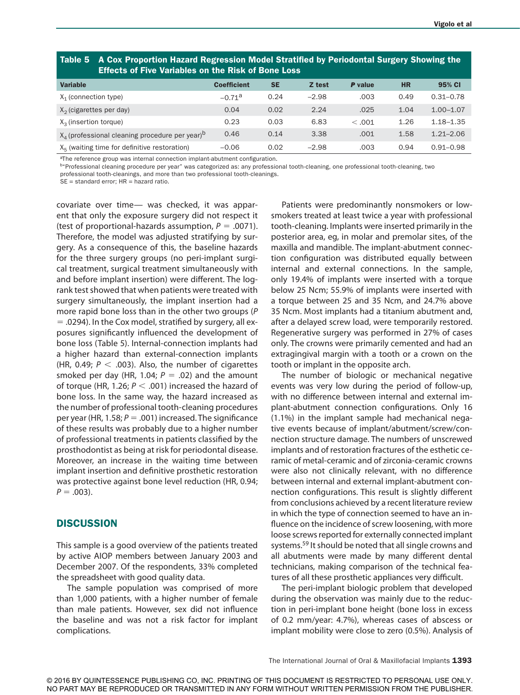| A Cox Proportion Hazard Regression Model Stratified by Periodontal Surgery Showing the<br><b>Table 5</b><br><b>Effects of Five Variables on the Risk of Bone Loss</b> |                    |           |         |         |      |               |  |  |
|-----------------------------------------------------------------------------------------------------------------------------------------------------------------------|--------------------|-----------|---------|---------|------|---------------|--|--|
| <b>Variable</b>                                                                                                                                                       | <b>Coefficient</b> | <b>SE</b> | Z test  | P value | HR   | 95% CI        |  |  |
| $X_1$ (connection type)                                                                                                                                               | $-0.71a$           | 0.24      | $-2.98$ | .003    | 0.49 | $0.31 - 0.78$ |  |  |
| $X2$ (cigarettes per day)                                                                                                                                             | 0.04               | 0.02      | 2.24    | .025    | 1.04 | $1.00 - 1.07$ |  |  |
| $X3$ (insertion torque)                                                                                                                                               | 0.23               | 0.03      | 6.83    | < 0.001 | 1.26 | 1.18–1.35     |  |  |
| $X_4$ (professional cleaning procedure per year) <sup>D</sup>                                                                                                         | 0.46               | 0.14      | 3.38    | .001    | 1.58 | $1.21 - 2.06$ |  |  |
| $X5$ (waiting time for definitive restoration)                                                                                                                        | $-0.06$            | 0.02      | $-2.98$ | .003    | 0.94 | $0.91 - 0.98$ |  |  |

<sup>a</sup>The reference group was internal connection implant-abutment configuration.

b"Professional cleaning procedure per year" was categorized as: any professional tooth-cleaning, one professional tooth-cleaning, two

professional tooth-cleanings, and more than two professional tooth-cleanings.

 $SF = standard error$ ; HR = hazard ratio.

covariate over time— was checked, it was apparent that only the exposure surgery did not respect it (test of proportional-hazards assumption,  $P = .0071$ ). Therefore, the model was adjusted stratifying by surgery. As a consequence of this, the baseline hazards for the three surgery groups (no peri-implant surgical treatment, surgical treatment simultaneously with and before implant insertion) were different. The logrank test showed that when patients were treated with surgery simultaneously, the implant insertion had a more rapid bone loss than in the other two groups (*P* = .0294). In the Cox model, stratified by surgery, all exposures significantly influenced the development of bone loss (Table 5). Internal-connection implants had a higher hazard than external-connection implants (HR, 0.49;  $P < .003$ ). Also, the number of cigarettes smoked per day (HR, 1.04;  $P = .02$ ) and the amount of torque (HR, 1.26;  $P < .001$ ) increased the hazard of bone loss. In the same way, the hazard increased as the number of professional tooth-cleaning procedures per year (HR,  $1.58; P = .001$ ) increased. The significance of these results was probably due to a higher number of professional treatments in patients classified by the prosthodontist as being at risk for periodontal disease. Moreover, an increase in the waiting time between implant insertion and definitive prosthetic restoration was protective against bone level reduction (HR, 0.94;  $P = .003$ ).

## **DISCUSSION**

This sample is a good overview of the patients treated by active AIOP members between January 2003 and December 2007. Of the respondents, 33% completed the spreadsheet with good quality data.

The sample population was comprised of more than 1,000 patients, with a higher number of female than male patients. However, sex did not influence the baseline and was not a risk factor for implant complications.

Patients were predominantly nonsmokers or lowsmokers treated at least twice a year with professional tooth-cleaning. Implants were inserted primarily in the posterior area, eg, in molar and premolar sites, of the maxilla and mandible. The implant-abutment connection configuration was distributed equally between internal and external connections. In the sample, only 19.4% of implants were inserted with a torque below 25 Ncm; 55.9% of implants were inserted with a torque between 25 and 35 Ncm, and 24.7% above 35 Ncm. Most implants had a titanium abutment and, after a delayed screw load, were temporarily restored. Regenerative surgery was performed in 27% of cases only. The crowns were primarily cemented and had an extragingival margin with a tooth or a crown on the tooth or implant in the opposite arch.

The number of biologic or mechanical negative events was very low during the period of follow-up, with no difference between internal and external implant-abutment connection configurations. Only 16 (1.1%) in the implant sample had mechanical negative events because of implant/abutment/screw/connection structure damage. The numbers of unscrewed implants and of restoration fractures of the esthetic ceramic of metal-ceramic and of zirconia-ceramic crowns were also not clinically relevant, with no difference between internal and external implant-abutment connection configurations. This result is slightly different from conclusions achieved by a recent literature review in which the type of connection seemed to have an influence on the incidence of screw loosening, with more loose screws reported for externally connected implant systems.59 It should be noted that all single crowns and all abutments were made by many different dental technicians, making comparison of the technical features of all these prosthetic appliances very difficult.

The peri-implant biologic problem that developed during the observation was mainly due to the reduction in peri-implant bone height (bone loss in excess of 0.2 mm/year: 4.7%), whereas cases of abscess or implant mobility were close to zero (0.5%). Analysis of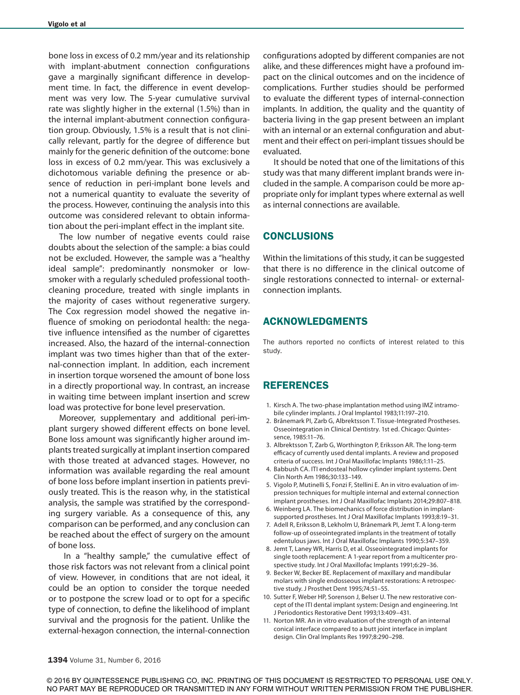bone loss in excess of 0.2 mm/year and its relationship with implant-abutment connection configurations gave a marginally significant difference in development time. In fact, the difference in event development was very low. The 5-year cumulative survival rate was slightly higher in the external (1.5%) than in the internal implant-abutment connection configuration group. Obviously, 1.5% is a result that is not clinically relevant, partly for the degree of difference but mainly for the generic definition of the outcome: bone loss in excess of 0.2 mm/year. This was exclusively a dichotomous variable defining the presence or absence of reduction in peri-implant bone levels and not a numerical quantity to evaluate the severity of the process. However, continuing the analysis into this outcome was considered relevant to obtain information about the peri-implant effect in the implant site.

The low number of negative events could raise doubts about the selection of the sample: a bias could not be excluded. However, the sample was a "healthy ideal sample": predominantly nonsmoker or lowsmoker with a regularly scheduled professional toothcleaning procedure, treated with single implants in the majority of cases without regenerative surgery. The Cox regression model showed the negative influence of smoking on periodontal health: the negative influence intensified as the number of cigarettes increased. Also, the hazard of the internal-connection implant was two times higher than that of the external-connection implant. In addition, each increment in insertion torque worsened the amount of bone loss in a directly proportional way. In contrast, an increase in waiting time between implant insertion and screw load was protective for bone level preservation.

Moreover, supplementary and additional peri-implant surgery showed different effects on bone level. Bone loss amount was significantly higher around implants treated surgically at implant insertion compared with those treated at advanced stages. However, no information was available regarding the real amount of bone loss before implant insertion in patients previously treated. This is the reason why, in the statistical analysis, the sample was stratified by the corresponding surgery variable. As a consequence of this, any comparison can be performed, and any conclusion can be reached about the effect of surgery on the amount of bone loss.

 In a "healthy sample," the cumulative effect of those risk factors was not relevant from a clinical point of view. However, in conditions that are not ideal, it could be an option to consider the torque needed or to postpone the screw load or to opt for a specific type of connection, to define the likelihood of implant survival and the prognosis for the patient. Unlike the external-hexagon connection, the internal-connection configurations adopted by different companies are not alike, and these differences might have a profound impact on the clinical outcomes and on the incidence of complications. Further studies should be performed to evaluate the different types of internal-connection implants. In addition, the quality and the quantity of bacteria living in the gap present between an implant with an internal or an external configuration and abutment and their effect on peri-implant tissues should be evaluated.

It should be noted that one of the limitations of this study was that many different implant brands were included in the sample. A comparison could be more appropriate only for implant types where external as well as internal connections are available.

## **CONCLUSIONS**

Within the limitations of this study, it can be suggested that there is no difference in the clinical outcome of single restorations connected to internal- or externalconnection implants.

#### ACKNOWLEDGMENTS

The authors reported no conflicts of interest related to this study.

## REFERENCES

- 1. Kirsch A. The two-phase implantation method using IMZ intramobile cylinder implants. J Oral Implantol 1983;11:197–210.
- 2. Brånemark PI, Zarb G, Albrektsson T. Tissue-Integrated Prostheses. Osseointegration in Clinical Dentistry. 1st ed. Chicago: Quintessence, 1985:11–76.
- 3. Albrektsson T, Zarb G, Worthington P, Eriksson AR. The long-term efficacy of currently used dental implants. A review and proposed criteria of success. Int J Oral Maxillofac Implants 1986;1:11–25.
- 4. Babbush CA. ITI endosteal hollow cylinder implant systems. Dent Clin North Am 1986;30:133–149.
- 5. Vigolo P, Mutinelli S, Fonzi F, Stellini E. An in vitro evaluation of impression techniques for multiple internal and external connection implant prostheses. Int J Oral Maxillofac Implants 2014;29:807–818.
- 6. Weinberg LA. The biomechanics of force distribution in implantsupported prostheses. Int J Oral Maxillofac Implants 1993;8:19–31.
- 7. Adell R, Eriksson B, Lekholm U, Brånemark PI, Jemt T. A long-term follow-up of osseointegrated implants in the treatment of totally edentulous jaws. Int J Oral Maxillofac Implants 1990;5:347–359.
- 8. Jemt T, Laney WR, Harris D, et al. Osseointegrated implants for single tooth replacement: A 1-year report from a multicenter prospective study. Int J Oral Maxillofac Implants 1991;6:29–36.
- 9. Becker W, Becker BE. Replacement of maxillary and mandibular molars with single endosseous implant restorations: A retrospective study. J Prosthet Dent 1995;74:51–55.
- 10. Sutter F, Weber HP, Sorenson J, Belser U. The new restorative concept of the ITI dental implant system: Design and engineering. Int J Periodontics Restorative Dent 1993;13:409–431.
- 11. Norton MR. An in vitro evaluation of the strength of an internal conical interface compared to a butt joint interface in implant design. Clin Oral Implants Res 1997;8:290–298.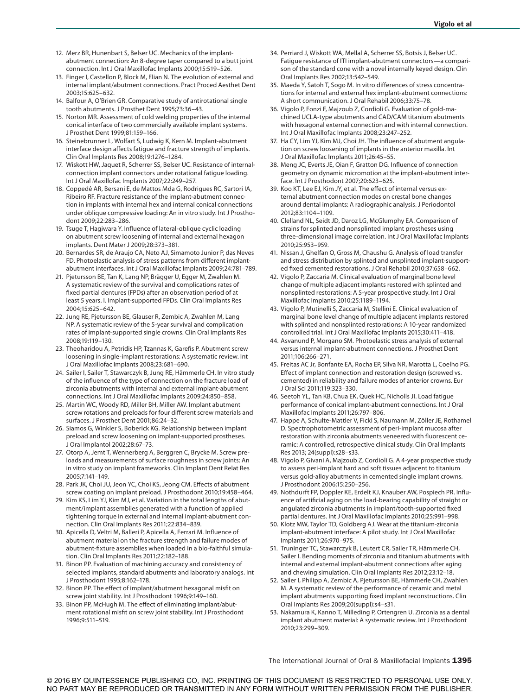- 12. Merz BR, Hunenbart S, Belser UC. Mechanics of the implantabutment connection: An 8-degree taper compared to a butt joint connection. Int J Oral Maxillofac Implants 2000;15:519–526.
- 13. Finger I, Castellon P, Block M, Elian N. The evolution of external and internal implant/abutment connections. Pract Proced Aesthet Dent 2003;15:625–632.
- 14. Balfour A, O'Brien GR. Comparative study of antirotational single tooth abutments. J Prosthet Dent 1995;73:36–43.
- 15. Norton MR. Assessment of cold welding properties of the internal conical interface of two commercially available implant systems. J Prosthet Dent 1999;81:159–166.
- 16. Steinebrunner L, Wolfart S, Ludwig K, Kern M. Implant-abutment interface design affects fatigue and fracture strength of implants. Clin Oral Implants Res 2008;19:1276–1284.
- 17. Wiskott HW, Jaquet R, Scherrer SS, Belser UC. Resistance of internalconnection implant connectors under rotational fatigue loading. Int J Oral Maxillofac Implants 2007;22:249–257.
- 18. Coppedê AR, Bersani E, de Mattos Mda G, Rodrigues RC, Sartori IA, Ribeiro RF. Fracture resistance of the implant-abutment connection in implants with internal hex and internal conical connections under oblique compressive loading: An in vitro study. Int J Prosthodont 2009;22:283–286.
- 19. Tsuge T, Hagiwara Y. Influence of lateral-oblique cyclic loading on abutment screw loosening of internal and external hexagon implants. Dent Mater J 2009;28:373–381.
- 20. Bernardes SR, de Araujo CA, Neto AJ, Simamoto Junior P, das Neves FD. Photoelastic analysis of stress patterns from different implantabutment interfaces. Int J Oral Maxillofac Implants 2009;24:781–789.
- 21. Pjetursson BE, Tan K, Lang NP, Brägger U, Egger M, Zwahlen M. A systematic review of the survival and complications rates of fixed partial dentures (FPDs) after an observation period of at least 5 years. I. Implant-supported FPDs. Clin Oral Implants Res 2004;15:625–642.
- 22. Jung RE, Pjetursson BE, Glauser R, Zembic A, Zwahlen M, Lang NP. A systematic review of the 5-year survival and complication rates of implant-supported single crowns. Clin Oral Implants Res 2008;19:119–130.
- 23. Theoharidou A, Petridis HP, Tzannas K, Garefis P. Abutment screw loosening in single-implant restorations: A systematic review. Int J Oral Maxillofac Implants 2008;23:681–690.
- 24. Sailer I, Sailer T, Stawarczyk B, Jung RE, Hämmerle CH. In vitro study of the influence of the type of connection on the fracture load of zirconia abutments with internal and external implant-abutment connections. Int J Oral Maxillofac Implants 2009;24:850–858.
- 25. Martin WC, Woody RD, Miller BH, Miller AW. Implant abutment screw rotations and preloads for four different screw materials and surfaces. J Prosthet Dent 2001;86:24–32.
- 26. Siamos G, Winkler S, Boberick KG. Relationship between implant preload and screw loosening on implant-supported prostheses. J Oral Implantol 2002;28:67–73.
- 27. Otorp A, Jemt T, Wennerberg A, Berggren C, Brycke M. Screw preloads and measurements of surface roughness in screw joints: An in vitro study on implant frameworks. Clin Implant Dent Relat Res 2005;7:141–149.
- 28. Park JK, Choi JU, Jeon YC, Choi KS, Jeong CM. Effects of abutment screw coating on implant preload. J Prosthodont 2010;19:458–464.
- 29. Kim KS, Lim YJ, Kim MJ, et al. Variation in the total lengths of abutment/implant assemblies generated with a function of applied tightening torque in external and internal implant-abutment connection. Clin Oral Implants Res 2011;22:834–839.
- 30. Apicella D, Veltri M, Balleri P, Apicella A, Ferrari M. Influence of abutment material on the fracture strength and failure modes of abutment-fixture assemblies when loaded in a bio-faithful simulation. Clin Oral Implants Res 2011;22:182–188.
- 31. Binon PP. Evaluation of machining accuracy and consistency of selected implants, standard abutments and laboratory analogs. Int J Prosthodont 1995;8:162–178.
- 32. Binon PP. The effect of implant/abutment hexagonal misfit on screw joint stability. Int J Prosthodont 1996;9:149–160.
- 33. Binon PP, McHugh M. The effect of eliminating implant/abutment rotational misfit on screw joint stability. Int J Prosthodont 1996;9:511–519.
- 34. Perriard J, Wiskott WA, Mellal A, Scherrer SS, Botsis J, Belser UC. Fatigue resistance of ITI implant-abutment connectors—a comparison of the standard cone with a novel internally keyed design. Clin Oral Implants Res 2002;13:542–549.
- 35. Maeda Y, Satoh T, Sogo M. In vitro differences of stress concentrations for internal and external hex implant-abutment connections: A short communication. J Oral Rehabil 2006;33:75–78.
- 36. Vigolo P, Fonzi F, Majzoub Z, Cordioli G. Evaluation of gold-machined UCLA-type abutments and CAD/CAM titanium abutments with hexagonal external connection and with internal connection. Int J Oral Maxillofac Implants 2008;23:247–252.
- 37. Ha CY, Lim YJ, Kim MJ, Choi JH. The influence of abutment angulation on screw loosening of implants in the anterior maxilla. Int J Oral Maxillofac Implants 2011;26:45–55.
- 38. Meng JC, Everts JE, Qian F, Gratton DG. Influence of connection geometry on dynamic micromotion at the implant-abutment interface. Int J Prosthodont 2007;20:623–625.
- 39. Koo KT, Lee EJ, Kim JY, et al. The effect of internal versus external abutment connection modes on crestal bone changes around dental implants: A radiographic analysis. J Periodontol 2012;83:1104–1109.
- 40. Clelland NL, Seidt JD, Daroz LG, McGlumphy EA. Comparison of strains for splinted and nonsplinted implant prostheses using three-dimensional image correlation. Int J Oral Maxillofac Implants 2010;25:953–959.
- 41. Nissan J, Ghelfan O, Gross M, Chaushu G. Analysis of load transfer and stress distribution by splinted and unsplinted implant-supported fixed cemented restorations. J Oral Rehabil 2010;37:658–662.
- 42. Vigolo P, Zaccaria M. Clinical evaluation of marginal bone level change of multiple adjacent implants restored with splinted and nonsplinted restorations: A 5-year prospective study. Int J Oral Maxillofac Implants 2010;25:1189–1194.
- 43. Vigolo P, Mutinelli S, Zaccaria M, Stellini E. Clinical evaluation of marginal bone level change of multiple adjacent implants restored with splinted and nonsplinted restorations: A 10-year randomized controlled trial. Int J Oral Maxillofac Implants 2015;30:411–418.
- 44. Asvanund P, Morgano SM. Photoelastic stress analysis of external versus internal implant-abutment connections. J Prosthet Dent 2011;106:266–271.
- 45. Freitas AC Jr, Bonfante EA, Rocha EP, Silva NR, Marotta L, Coelho PG. Effect of implant connection and restoration design (screwed vs. cemented) in reliability and failure modes of anterior crowns. Eur J Oral Sci 2011;119:323–330.
- 46. Seetoh YL, Tan KB, Chua EK, Quek HC, Nicholls JI. Load fatigue performance of conical implant-abutment connections. Int J Oral Maxillofac Implants 2011;26:797–806.
- 47. Happe A, Schulte-Mattler V, Fickl S, Naumann M, Zöller JE, Rothamel D. Spectrophotometric assessment of peri-implant mucosa after restoration with zirconia abutments veneered with fluorescent ceramic: A controlled, retrospective clinical study. Clin Oral Implants Res 2013; 24(suppl):s28–s33.
- 48. Vigolo P, Givani A, Majzoub Z, Cordioli G. A 4-year prospective study to assess peri-implant hard and soft tissues adjacent to titanium versus gold-alloy abutments in cemented single implant crowns. J Prosthodont 2006;15:250–256.
- 49. Nothdurft FP, Doppler KE, Erdelt KJ, Knauber AW, Pospiech PR. Influence of artificial aging on the load-bearing capability of straight or angulated zirconia abutments in implant/tooth-supported fixed partial dentures. Int J Oral Maxillofac Implants 2010;25:991–998.
- 50. Klotz MW, Taylor TD, Goldberg AJ. Wear at the titanium-zirconia implant-abutment interface: A pilot study. Int J Oral Maxillofac Implants 2011;26:970–975.
- 51. Truninger TC, Stawarczyk B, Leutert CR, Sailer TR, Hämmerle CH, Sailer I. Bending moments of zirconia and titanium abutments with internal and external implant-abutment connections after aging and chewing simulation. Clin Oral Implants Res 2012;23:12–18.
- 52. Sailer I, Philipp A, Zembic A, Pjetursson BE, Hämmerle CH, Zwahlen M. A systematic review of the performance of ceramic and metal implant abutments supporting fixed implant reconstructions. Clin Oral Implants Res 2009;20(suppl):s4–s31.
- 53. Nakamura K, Kanno T, Milleding P, Ortengren U. Zirconia as a dental implant abutment material: A systematic review. Int J Prosthodont 2010;23:299–309.

The International Journal of Oral & Maxillofacial Implants 1395